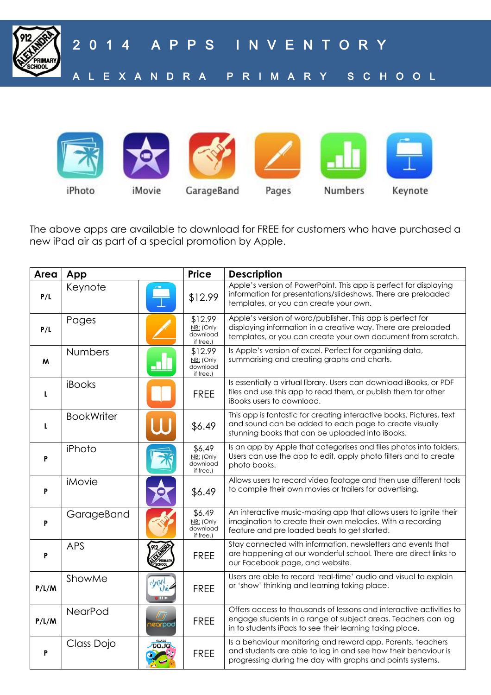

2 0 1 4 A P P S I N V E N T O R Y A L E X A N D R A P R I M A R Y S C H O O L



iPhoto

GarageBand

Pages

Keynote

The above apps are available to download for FREE for customers who have purchased a new iPad air as part of a special promotion by Apple.

| Area  | App                                       | <b>Price</b>                                  | <b>Description</b>                                                                                                                                                                               |
|-------|-------------------------------------------|-----------------------------------------------|--------------------------------------------------------------------------------------------------------------------------------------------------------------------------------------------------|
| P/L   | Keynote                                   | \$12.99                                       | Apple's version of PowerPoint. This app is perfect for displaying<br>information for presentations/slideshows. There are preloaded<br>templates, or you can create your own.                     |
| P/L   | Pages                                     | \$12.99<br>NB: (Only<br>download<br>if free.) | Apple's version of word/publisher. This app is perfect for<br>displaying information in a creative way. There are preloaded<br>templates, or you can create your own document from scratch.      |
| M     | <b>Numbers</b><br><u>. N</u>              | \$12.99<br>NB: (Only<br>download<br>if free.) | Is Apple's version of excel. Perfect for organising data,<br>summarising and creating graphs and charts.                                                                                         |
| L     | iBooks                                    | <b>FREE</b>                                   | Is essentially a virtual library. Users can download iBooks, or PDF<br>files and use this app to read them, or publish them for other<br>iBooks users to download.                               |
| L     | <b>BookWriter</b>                         | \$6.49                                        | This app is fantastic for creating interactive books. Pictures, text<br>and sound can be added to each page to create visually<br>stunning books that can be uploaded into iBooks.               |
| P     | iPhoto                                    | \$6.49<br>NB: (Only<br>download<br>if free.)  | Is an app by Apple that categorises and files photos into folders.<br>Users can use the app to edit, apply photo filters and to create<br>photo books.                                           |
| P     | iMovie                                    | \$6.49                                        | Allows users to record video footage and then use different tools<br>to compile their own movies or trailers for advertising.                                                                    |
| P     | GarageBand                                | \$6.49<br>NB: (Only<br>download<br>if free.)  | An interactive music-making app that allows users to ignite their<br>imagination to create their own melodies. With a recording<br>feature and pre loaded beats to get started.                  |
| P     | <b>APS</b>                                | <b>FREE</b>                                   | Stay connected with information, newsletters and events that<br>are happening at our wonderful school. There are direct links to<br>our Facebook page, and website.                              |
| P/L/M | ShowMe<br>show                            | <b>FREE</b>                                   | Users are able to record 'real-time' audio and visual to explain<br>or 'show' thinking and learning taking place.                                                                                |
| P/L/M | NearPod<br>hearpod                        | <b>FREE</b>                                   | Offers access to thousands of lessons and interactive activities to<br>engage students in a range of subject areas. Teachers can log<br>in to students iPads to see their learning taking place. |
| P     | <b>CLASS</b><br>Class Dojo<br><b>DOJO</b> | <b>FREE</b>                                   | Is a behaviour monitoring and reward app. Parents, teachers<br>and students are able to log in and see how their behaviour is<br>progressing during the day with graphs and points systems.      |